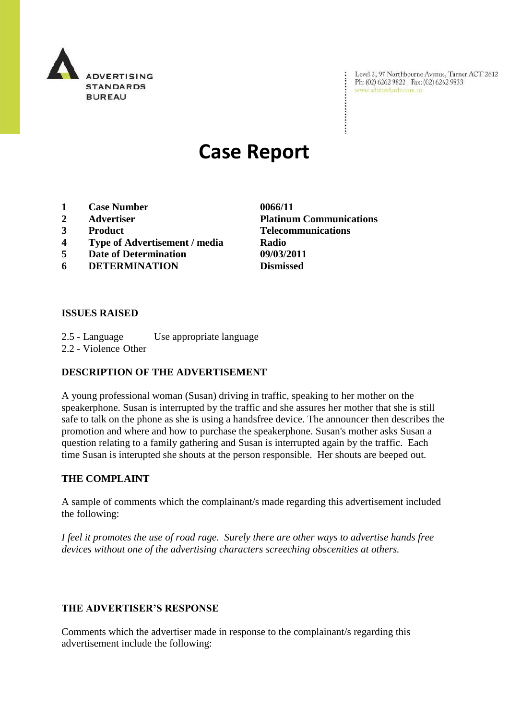

Level 2, 97 Northbourne Avenue, Turner ACT 2612<br>Ph:  $(02)$  6262 9822 | Fax:  $(02)$  6262 9833<br>www.adstandards.com.au www.adstandards.com.au

# **Case Report**

- **1 Case Number 0066/11**
- 
- 
- **4 Type of Advertisement / media Radio**
- **5 Date of Determination 09/03/2011**
- **6 DETERMINATION Dismissed**

## **ISSUES RAISED**

2.5 - Language Use appropriate language 2.2 - Violence Other

#### **DESCRIPTION OF THE ADVERTISEMENT**

A young professional woman (Susan) driving in traffic, speaking to her mother on the speakerphone. Susan is interrupted by the traffic and she assures her mother that she is still safe to talk on the phone as she is using a handsfree device. The announcer then describes the promotion and where and how to purchase the speakerphone. Susan's mother asks Susan a question relating to a family gathering and Susan is interrupted again by the traffic. Each time Susan is interupted she shouts at the person responsible. Her shouts are beeped out.

### **THE COMPLAINT**

A sample of comments which the complainant/s made regarding this advertisement included the following:

*I feel it promotes the use of road rage. Surely there are other ways to advertise hands free devices without one of the advertising characters screeching obscenities at others.* 

#### **THE ADVERTISER'S RESPONSE**

Comments which the advertiser made in response to the complainant/s regarding this advertisement include the following:

**2 Advertiser Platinum Communications 3 Product Telecommunications**

÷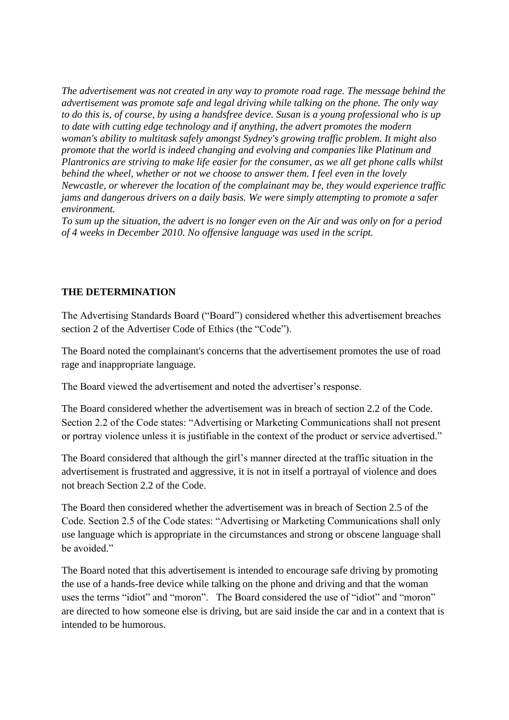*The advertisement was not created in any way to promote road rage. The message behind the advertisement was promote safe and legal driving while talking on the phone. The only way to do this is, of course, by using a handsfree device. Susan is a young professional who is up to date with cutting edge technology and if anything, the advert promotes the modern woman's ability to multitask safely amongst Sydney's growing traffic problem. It might also promote that the world is indeed changing and evolving and companies like Platinum and Plantronics are striving to make life easier for the consumer, as we all get phone calls whilst behind the wheel, whether or not we choose to answer them. I feel even in the lovely Newcastle, or wherever the location of the complainant may be, they would experience traffic jams and dangerous drivers on a daily basis. We were simply attempting to promote a safer environment.*

*To sum up the situation, the advert is no longer even on the Air and was only on for a period of 4 weeks in December 2010. No offensive language was used in the script.*

#### **THE DETERMINATION**

The Advertising Standards Board ("Board") considered whether this advertisement breaches section 2 of the Advertiser Code of Ethics (the "Code").

The Board noted the complainant's concerns that the advertisement promotes the use of road rage and inappropriate language.

The Board viewed the advertisement and noted the advertiser's response.

The Board considered whether the advertisement was in breach of section 2.2 of the Code. Section 2.2 of the Code states: "Advertising or Marketing Communications shall not present or portray violence unless it is justifiable in the context of the product or service advertised."

The Board considered that although the girl's manner directed at the traffic situation in the advertisement is frustrated and aggressive, it is not in itself a portrayal of violence and does not breach Section 2.2 of the Code.

The Board then considered whether the advertisement was in breach of Section 2.5 of the Code. Section 2.5 of the Code states: "Advertising or Marketing Communications shall only use language which is appropriate in the circumstances and strong or obscene language shall be avoided."

The Board noted that this advertisement is intended to encourage safe driving by promoting the use of a hands-free device while talking on the phone and driving and that the woman uses the terms "idiot" and "moron". The Board considered the use of "idiot" and "moron" are directed to how someone else is driving, but are said inside the car and in a context that is intended to be humorous.